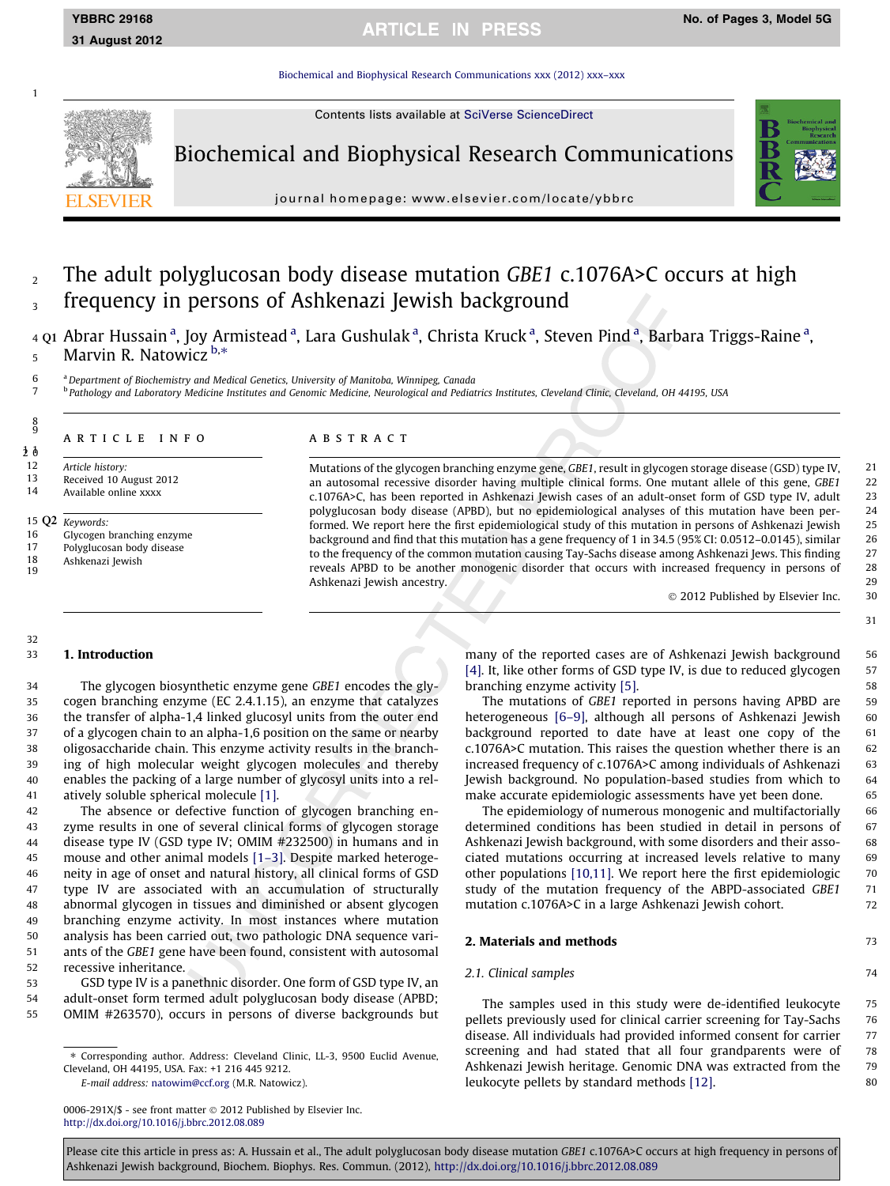[Biochemical and Biophysical Research Communications xxx \(2012\) xxx–xxx](http://dx.doi.org/10.1016/j.bbrc.2012.08.089)

Contents lists available at [SciVerse ScienceDirect](http://www.sciencedirect.com/science/journal/0006291X)



Biochemical and Biophysical Research Communications



journal homepage: [www.elsevier.com/locate/ybbrc](http://www.elsevier.com/locate/ybbrc)

<sup>2</sup> The adult polyglucosan body disease mutation GBE1 c.1076A>C occurs at high frequency in persons of Ashkenazi Jewish background

4 Q1 Abrar Hussain <sup>a</sup>, Joy Armistead <sup>a</sup>, Lara Gushulak <sup>a</sup>, Christa Kruck <sup>a</sup>, Steven Pind <sup>a</sup>, Barbara Triggs-Raine <sup>a</sup>, 5 Marvin R. Natowicz  $b.*$ 

<sup>6</sup> a Department of Biochemistry and Medical Genetics, University of Manitoba, Winnipeg, Canada<br><sup>7</sup> <sup>b</sup> Pathology and Laboratory Medicine Institutes and Genomic Medicine, Neurological and Pediat

<sup>b</sup> Pathology and Laboratory Medicine Institutes and Genomic Medicine, Neurological and Pediatrics Institutes, Cleveland Clinic, Cleveland, OH 44195, USA

# 8 9

1

article info

12 Article history:<br>13 Received 10.4 13 Received 10 August 2012<br>14 Available online xxxx

Available online xxxx

- 15 Q2 Keywords:
- 16 Glycogen branching enzyme<br>17 Polyglucosan body disease
- 17 Polyglucosan body disease<br>18 Ashkenazi Jewish
- Ashkenazi Jewish 19

## ABSTRACT

Mutations of the glycogen branching enzyme gene, GBE1, result in glycogen storage disease (GSD) type IV, 21 an autosomal recessive disorder having multiple clinical forms. One mutant allele of this gene, GBE1 22 c.1076A>C, has been reported in Ashkenazi Jewish cases of an adult-onset form of GSD type IV, adult 23<br>polyglucosan body disease (APBD), but no epidemiological analyses of this mutation have been per-<br>24 polyglucosan body disease (APBD), but no epidemiological analyses of this mutation have been performed. We report here the first epidemiological study of this mutation in persons of Ashkenazi Jewish 25 background and find that this mutation has a gene frequency of 1 in 34.5 (95% CI: 0.0512–0.0145), similar 26<br>12 to the frequency of the common mutation causing Tay-Sachs disease among Ashkenazi Jews. This finding to the frequency of the common mutation causing Tay-Sachs disease among Ashkenazi Jews. This finding reveals APBD to be another monogenic disorder that occurs with increased frequency in persons of 28 Ashkenazi Jewish ancestry. 29

- 2012 Published by Elsevier Inc. 30

31

#### 32

#### 33 1. Introduction

 The glycogen biosynthetic enzyme gene GBE1 encodes the gly- cogen branching enzyme (EC 2.4.1.15), an enzyme that catalyzes the transfer of alpha-1,4 linked glucosyl units from the outer end of a glycogen chain to an alpha-1,6 position on the same or nearby oligosaccharide chain. This enzyme activity results in the branch- ing of high molecular weight glycogen molecules and thereby enables the packing of a large number of glycosyl units into a rel-atively soluble spherical molecule [\[1\].](#page-2-0)

 The absence or defective function of glycogen branching en- zyme results in one of several clinical forms of glycogen storage disease type IV (GSD type IV; OMIM #232500) in humans and in mouse and other animal models [\[1–3\].](#page-2-0) Despite marked heteroge- neity in age of onset and natural history, all clinical forms of GSD type IV are associated with an accumulation of structurally abnormal glycogen in tissues and diminished or absent glycogen branching enzyme activity. In most instances where mutation analysis has been carried out, two pathologic DNA sequence vari- ants of the GBE1 gene have been found, consistent with autosomal recessive inheritance.

53 GSD type IV is a panethnic disorder. One form of GSD type IV, an 54 adult-onset form termed adult polyglucosan body disease (APBD; 55 OMIM #263570), occurs in persons of diverse backgrounds but

E-mail address: [natowim@ccf.org](mailto:natowim@ccf.org) (M.R. Natowicz).

many of the reported cases are of Ashkenazi Jewish background 56 [\[4\]](#page-2-0). It, like other forms of GSD type IV, is due to reduced glycogen 57 branching enzyme activity [\[5\].](#page-2-0) 58

The mutations of GBE1 reported in persons having APBD are 59 heterogeneous [6-9], although all persons of Ashkenazi Jewish 60 background reported to date have at least one copy of the 61 c.1076A>C mutation. This raises the question whether there is an 62 increased frequency of c.1076A>C among individuals of Ashkenazi 63 Jewish background. No population-based studies from which to 64 make accurate epidemiologic assessments have yet been done. 65

The epidemiology of numerous monogenic and multifactorially 66 determined conditions has been studied in detail in persons of 67 Ashkenazi Jewish background, with some disorders and their asso-<br>68 ciated mutations occurring at increased levels relative to many 69 other populations [\[10,11\]](#page-2-0). We report here the first epidemiologic 70 study of the mutation frequency of the ABPD-associated GBE1 71 mutation c.1076A>C in a large Ashkenazi Jewish cohort. 72

# **2. Materials and methods** 73

# 2.1. Clinical samples 74

The samples used in this study were de-identified leukocyte 75 pellets previously used for clinical carrier screening for Tay-Sachs 76 disease. All individuals had provided informed consent for carrier 77 screening and had stated that all four grandparents were of 78 Ashkenazi Jewish heritage. Genomic DNA was extracted from the 79 leukocyte pellets by standard methods [\[12\]](#page-2-0). 80

0006-291X/\$ - see front matter © 2012 Published by Elsevier Inc. <http://dx.doi.org/10.1016/j.bbrc.2012.08.089>

Please cite this article in press as: A. Hussain et al., The adult polyglucosan body disease mutation GBE1 c.1076A>C occurs at high frequency in persons of Ashkenazi Jewish background, Biochem. Biophys. Res. Commun. (2012), <http://dx.doi.org/10.1016/j.bbrc.2012.08.089>

<sup>⇑</sup> Corresponding author. Address: Cleveland Clinic, LL-3, 9500 Euclid Avenue, Cleveland, OH 44195, USA. Fax: +1 216 445 9212.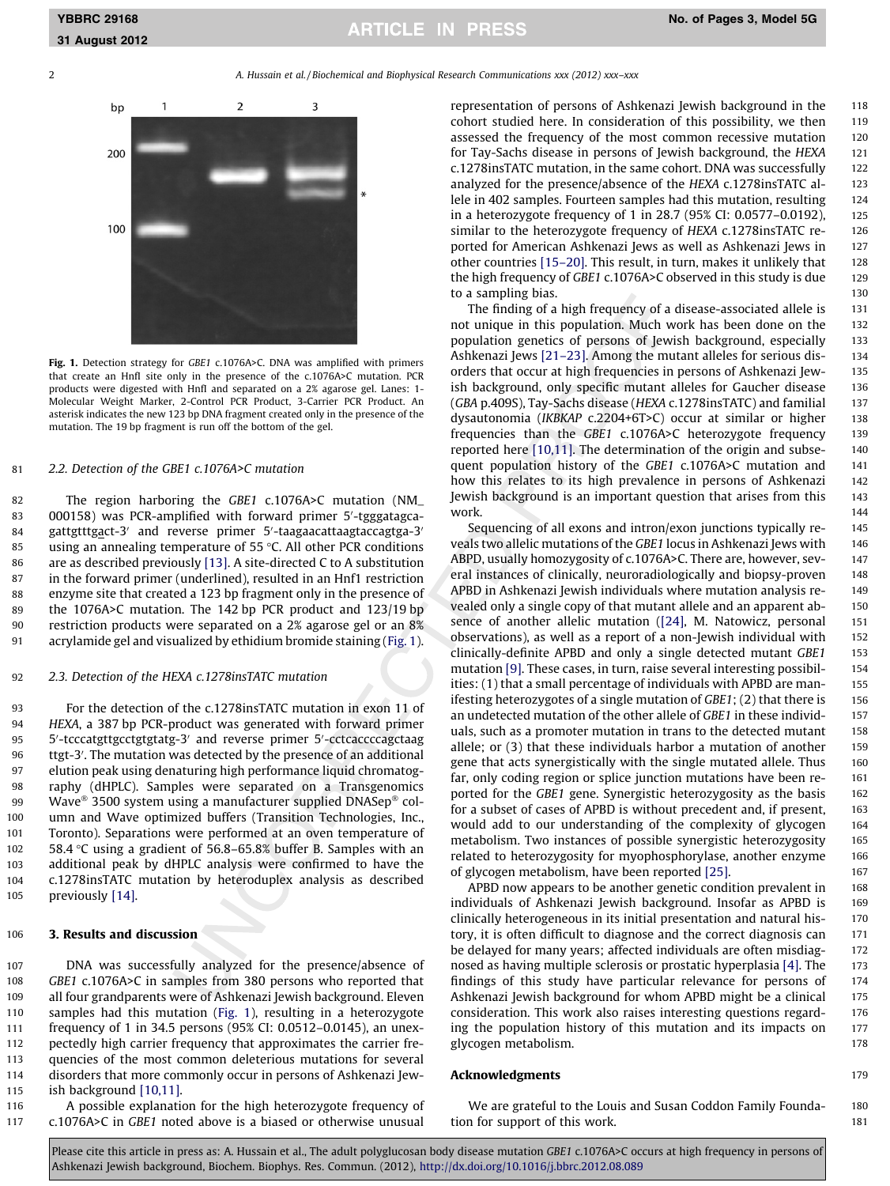# YBBRC 29168 No. of Pages 3, Model 5G





Fig. 1. Detection strategy for GBE1 c.1076A>C. DNA was amplified with primers that create an HnfI site only in the presence of the c.1076A>C mutation. PCR products were digested with HnfI and separated on a 2% agarose gel. Lanes: 1- Molecular Weight Marker, 2-Control PCR Product, 3-Carrier PCR Product. An asterisk indicates the new 123 bp DNA fragment created only in the presence of the mutation. The 19 bp fragment is run off the bottom of the gel.

## 81 2.2. Detection of the GBE1 c.1076A>C mutation

 The region harboring the GBE1 c.1076A>C mutation (NM\_ 83 000158) was PCR-amplified with forward primer 5'-tgggatagca-84 gattgtttg<u>a</u>ct-3' and reverse primer 5'-taagaacattaagtaccagtga-3' 85 using an annealing temperature of  $55$  °C. All other PCR conditions are as described previously [\[13\]](#page-2-0). A site-directed C to A substitution in the forward primer (underlined), resulted in an Hnf1 restriction enzyme site that created a 123 bp fragment only in the presence of the 1076A>C mutation. The 142 bp PCR product and 123/19 bp restriction products were separated on a 2% agarose gel or an 8% acrylamide gel and visualized by ethidium bromide staining (Fig. 1).

#### 92 2.3. Detection of the HEXA c.1278insTATC mutation

 For the detection of the c.1278insTATC mutation in exon 11 of HEXA, a 387 bp PCR-product was generated with forward primer 95 5'-tcccatgttgcctgtgtatg-3' and reverse primer 5'-cctcaccccagctaag 96 ttgt-3'. The mutation was detected by the presence of an additional elution peak using denaturing high performance liquid chromatog- raphy (dHPLC). Samples were separated on a Transgenomics 99 Wave 3500 system using a manufacturer supplied DNASep<sup>®</sup> col- umn and Wave optimized buffers (Transition Technologies, Inc., Toronto). Separations were performed at an oven temperature of 102 58.4 °C using a gradient of 56.8–65.8% buffer B. Samples with an additional peak by dHPLC analysis were confirmed to have the c.1278insTATC mutation by heteroduplex analysis as described previously [\[14\]](#page-2-0).

### 106 3. Results and discussion

 DNA was successfully analyzed for the presence/absence of GBE1 c.1076A>C in samples from 380 persons who reported that all four grandparents were of Ashkenazi Jewish background. Eleven samples had this mutation (Fig. 1), resulting in a heterozygote frequency of 1 in 34.5 persons (95% CI: 0.0512–0.0145), an unex- pectedly high carrier frequency that approximates the carrier fre- quencies of the most common deleterious mutations for several disorders that more commonly occur in persons of Ashkenazi Jew-ish background [\[10,11\]](#page-2-0).

116 A possible explanation for the high heterozygote frequency of 117 c.1076A>C in GBE1 noted above is a biased or otherwise unusual representation of persons of Ashkenazi Jewish background in the 118 cohort studied here. In consideration of this possibility, we then 119 assessed the frequency of the most common recessive mutation 120 for Tay-Sachs disease in persons of Jewish background, the HEXA 121 c.1278insTATC mutation, in the same cohort. DNA was successfully 122 analyzed for the presence/absence of the HEXA c.1278insTATC al- 123 lele in 402 samples. Fourteen samples had this mutation, resulting 124 in a heterozygote frequency of 1 in 28.7 (95% CI: 0.0577–0.0192), 125 similar to the heterozygote frequency of HEXA c.1278insTATC re- 126 ported for American Ashkenazi Jews as well as Ashkenazi Jews in 127 other countries [\[15–20\]](#page-2-0). This result, in turn, makes it unlikely that 128 the high frequency of GBE1 c.1076A>C observed in this study is due 129 to a sampling bias. 130

The finding of a high frequency of a disease-associated allele is 131 not unique in this population. Much work has been done on the 132 population genetics of persons of Jewish background, especially 133 Ashkenazi Jews [\[21–23\].](#page-2-0) Among the mutant alleles for serious dis- 134 orders that occur at high frequencies in persons of Ashkenazi Jew- 135 ish background, only specific mutant alleles for Gaucher disease 136 (GBA p.409S), Tay-Sachs disease (HEXA c.1278insTATC) and familial 137 dysautonomia (IKBKAP c.2204+6T>C) occur at similar or higher 138 frequencies than the GBE1 c.1076A>C heterozygote frequency 139 reported here [\[10,11\]](#page-2-0). The determination of the origin and subse- 140 quent population history of the GBE1 c.1076A>C mutation and 141 how this relates to its high prevalence in persons of Ashkenazi 142 Jewish background is an important question that arises from this 143 work. The contraction of the contraction of the contraction of the contraction of the contraction of the contraction of the contraction of the contraction of the contraction of the contraction of the contraction of the con

Sequencing of all exons and intron/exon junctions typically re- 145 veals two allelic mutations of the GBE1 locus in Ashkenazi Jews with 146 ABPD, usually homozygosity of c.1076A>C. There are, however, sev-<br>147 eral instances of clinically, neuroradiologically and biopsy-proven 148 APBD in Ashkenazi Jewish individuals where mutation analysis re- 149 vealed only a single copy of that mutant allele and an apparent ab- 150 sence of another allelic mutation [\(\[24\],](#page-2-0) M. Natowicz, personal 151 observations), as well as a report of a non-Jewish individual with 152 clinically-definite APBD and only a single detected mutant GBE1 153 mutation [\[9\]](#page-2-0). These cases, in turn, raise several interesting possibil-<br>154 ities: (1) that a small percentage of individuals with APBD are man- 155 ifesting heterozygotes of a single mutation of GBE1; (2) that there is 156 an undetected mutation of the other allele of GBE1 in these individ- 157 uals, such as a promoter mutation in trans to the detected mutant 158 allele; or  $(3)$  that these individuals harbor a mutation of another 159 gene that acts synergistically with the single mutated allele. Thus 160 far, only coding region or splice junction mutations have been re- 161 ported for the GBE1 gene. Synergistic heterozygosity as the basis 162 for a subset of cases of APBD is without precedent and, if present, 163 would add to our understanding of the complexity of glycogen 164 metabolism. Two instances of possible synergistic heterozygosity 165 related to heterozygosity for myophosphorylase, another enzyme 166 of glycogen metabolism, have been reported [\[25\]](#page-2-0). 167

APBD now appears to be another genetic condition prevalent in 168 individuals of Ashkenazi Jewish background. Insofar as APBD is 169 clinically heterogeneous in its initial presentation and natural his- 170 tory, it is often difficult to diagnose and the correct diagnosis can 171 be delayed for many years; affected individuals are often misdiag-<br>172 nosed as having multiple sclerosis or prostatic hyperplasia [\[4\].](#page-2-0) The 173 findings of this study have particular relevance for persons of 174 Ashkenazi Jewish background for whom APBD might be a clinical 175 consideration. This work also raises interesting questions regard- 176 ing the population history of this mutation and its impacts on 177 glycogen metabolism. 178

#### Acknowledgments 179

We are grateful to the Louis and Susan Coddon Family Founda-<br>180 tion for support of this work. 181

Please cite this article in press as: A. Hussain et al., The adult polyglucosan body disease mutation GBE1 c.1076A>C occurs at high frequency in persons of Ashkenazi Jewish background, Biochem. Biophys. Res. Commun. (2012), <http://dx.doi.org/10.1016/j.bbrc.2012.08.089>